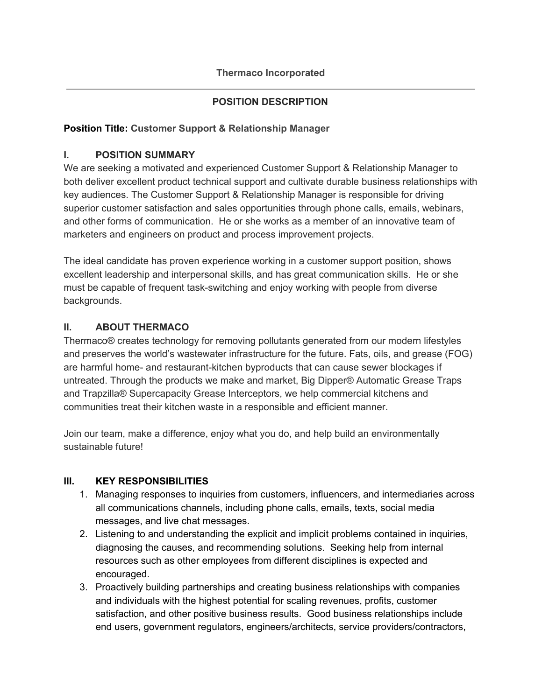## **POSITION DESCRIPTION**

### **Position Title: Customer Support & Relationship Manager**

### **I. POSITION SUMMARY**

We are seeking a motivated and experienced Customer Support & Relationship Manager to both deliver excellent product technical support and cultivate durable business relationships with key audiences. The Customer Support & Relationship Manager is responsible for driving superior customer satisfaction and sales opportunities through phone calls, emails, webinars, and other forms of communication. He or she works as a member of an innovative team of marketers and engineers on product and process improvement projects.

The ideal candidate has proven experience working in a customer support position, shows excellent leadership and interpersonal skills, and has great communication skills. He or she must be capable of frequent task-switching and enjoy working with people from diverse backgrounds.

## **II. ABOUT THERMACO**

Thermaco® creates technology for removing pollutants generated from our modern lifestyles and preserves the world's wastewater infrastructure for the future. Fats, oils, and grease (FOG) are harmful home- and restaurant-kitchen byproducts that can cause sewer blockages if untreated. Through the products we make and market, Big Dipper® Automatic Grease Traps and Trapzilla® Supercapacity Grease Interceptors, we help commercial kitchens and communities treat their kitchen waste in a responsible and efficient manner.

Join our team, make a difference, enjoy what you do, and help build an environmentally sustainable future!

#### **III. KEY RESPONSIBILITIES**

- 1. Managing responses to inquiries from customers, influencers, and intermediaries across all communications channels, including phone calls, emails, texts, social media messages, and live chat messages.
- 2. Listening to and understanding the explicit and implicit problems contained in inquiries, diagnosing the causes, and recommending solutions. Seeking help from internal resources such as other employees from different disciplines is expected and encouraged.
- 3. Proactively building partnerships and creating business relationships with companies and individuals with the highest potential for scaling revenues, profits, customer satisfaction, and other positive business results. Good business relationships include end users, government regulators, engineers/architects, service providers/contractors,